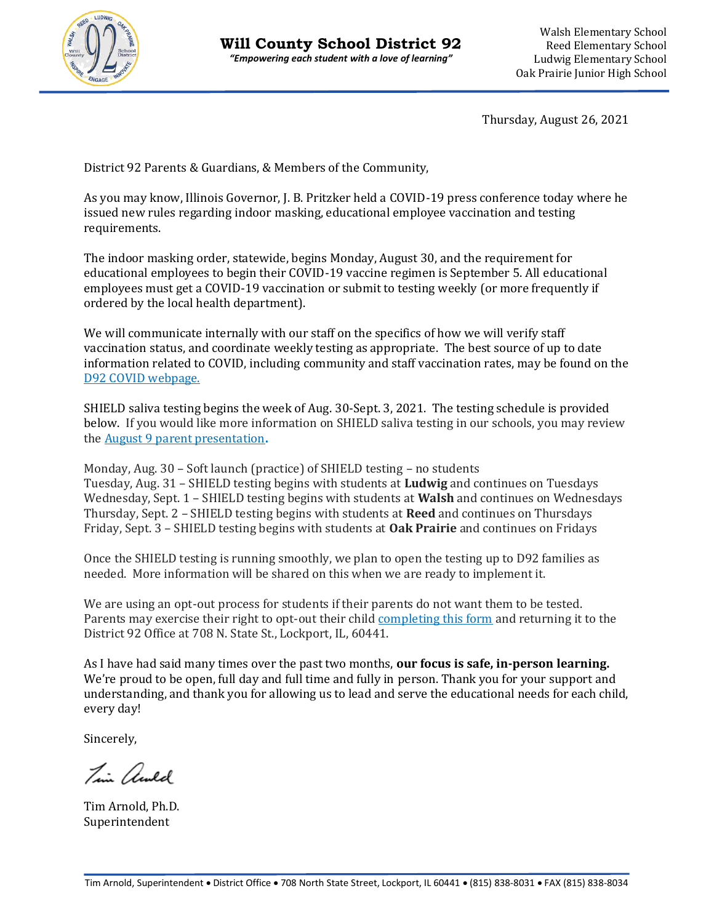

Thursday, August 26, 2021

District 92 Parents & Guardians, & Members of the Community,

As you may know, Illinois Governor, J. B. Pritzker held a COVID-19 press conference today where he issued new rules regarding indoor masking, educational employee vaccination and testing requirements.

The indoor masking order, statewide, begins Monday, August 30, and the requirement for educational employees to begin their COVID-19 vaccine regimen is September 5. All educational employees must get a COVID-19 vaccination or submit to testing weekly (or more frequently if ordered by the local health department).

We will communicate internally with our staff on the specifics of how we will verify staff vaccination status, and coordinate weekly testing as appropriate. The best source of up to date information related to COVID, including community and staff vaccination rates, may be found on the [D92 COVID webpage.](https://www.d92.org/domain/62) 

SHIELD saliva testing begins the week of Aug. 30-Sept. 3, 2021. The testing schedule is provided below. If you would like more information on SHIELD saliva testing in our schools, you may review th[e August 9 parent presentation](https://youtu.be/CO8hlpPhQuw)**.** 

Monday, Aug. 30 – Soft launch (practice) of SHIELD testing – no students Tuesday, Aug. 31 – SHIELD testing begins with students at **Ludwig** and continues on Tuesdays Wednesday, Sept. 1 – SHIELD testing begins with students at **Walsh** and continues on Wednesdays Thursday, Sept. 2 – SHIELD testing begins with students at **Reed** and continues on Thursdays Friday, Sept. 3 – SHIELD testing begins with students at **Oak Prairie** and continues on Fridays

Once the SHIELD testing is running smoothly, we plan to open the testing up to D92 families as needed. More information will be shared on this when we are ready to implement it.

We are using an opt-out process for students if their parents do not want them to be tested. Parents may exercise their right to opt-out their chil[d completing this form](https://docs.google.com/document/d/1_VMxNwIFkaf8Y2Wcw7K2ua-vh9C8Gr2H/edit?usp=sharing&ouid=117459407224657827242&rtpof=true&sd=true) and returning it to the District 92 Office at 708 N. State St., Lockport, IL, 60441.

As I have had said many times over the past two months, **our focus is safe, in-person learning.**  We're proud to be open, full day and full time and fully in person. Thank you for your support and understanding, and thank you for allowing us to lead and serve the educational needs for each child, every day!

Sincerely,

Tim awld

Tim Arnold, Ph.D. Superintendent